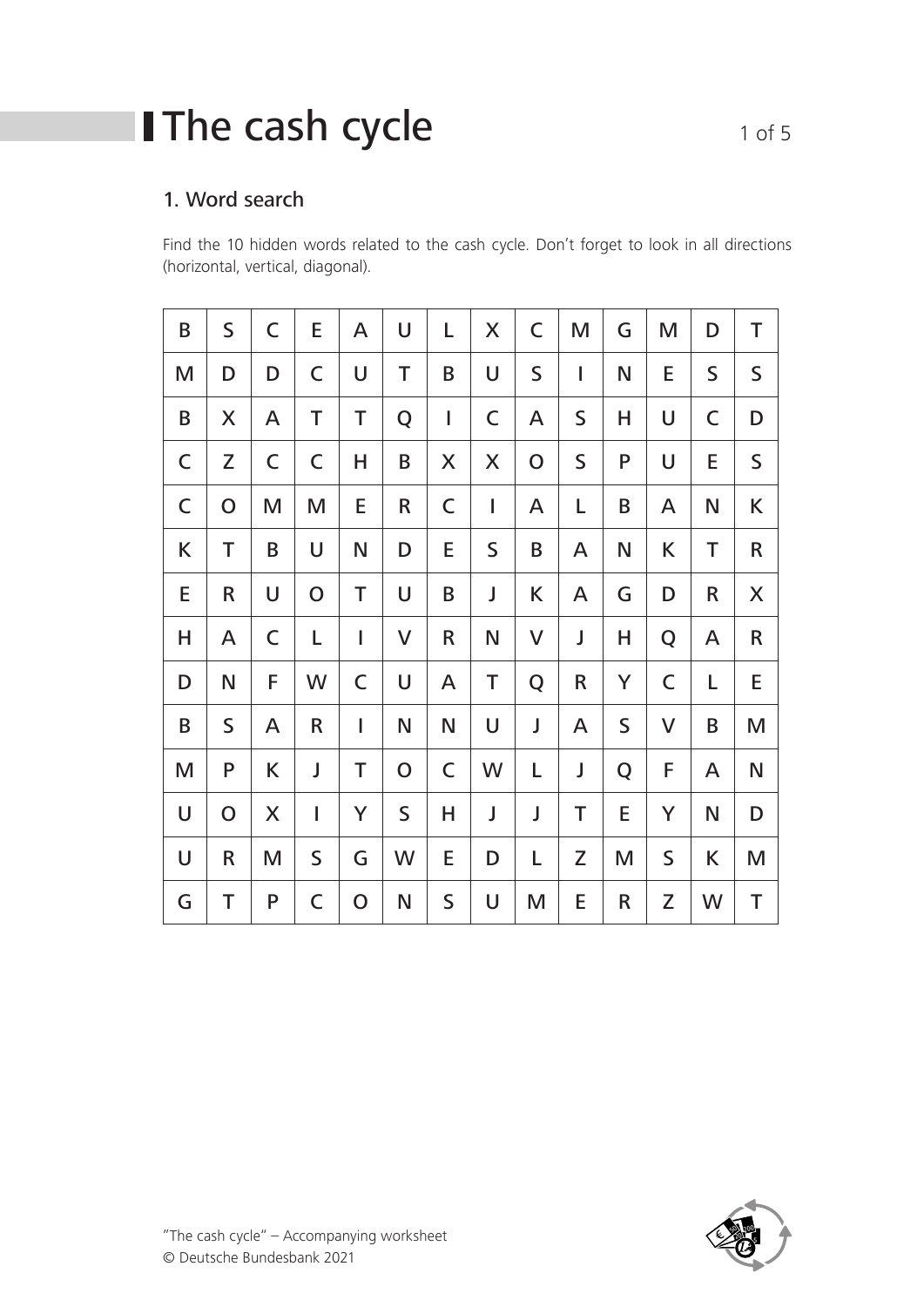# **I** The cash cycle 1 of 5

#### 1. Word search

Find the 10 hidden words related to the cash cycle. Don't forget to look in all directions (horizontal, vertical, diagonal).

| B           | S           | C           | E           | A           | U           | L           | X           | $\mathsf C$  | M           | G | M           | D           | T            |
|-------------|-------------|-------------|-------------|-------------|-------------|-------------|-------------|--------------|-------------|---|-------------|-------------|--------------|
| M           | D           | D           | $\mathsf C$ | U           | T           | B           | U           | $\mathsf S$  | I           | N | E           | $\mathsf S$ | $\mathsf S$  |
| B           | X           | A           | Τ           | Τ           | Q           | $\mathsf I$ | C           | A            | $\mathsf S$ | Н | U           | C           | D            |
| C           | Z           | $\mathsf C$ | C           | Н           | B           | X           | X           | $\mathsf{O}$ | $\mathsf S$ | P | U           | E           | $\mathsf S$  |
| $\mathsf C$ | $\mathbf O$ | M           | M           | E           | R           | $\mathsf C$ | I           | A            | L           | B | A           | N           | K            |
| K           | Τ           | B           | U           | N           | D           | Е           | $\mathsf S$ | B            | A           | N | K           | Τ           | $\mathsf R$  |
| E           | R           | U           | $\mathbf O$ | Τ           | U           | B           | J           | K            | A           | G | D           | R           | X            |
| Н           | A           | C           | Г           | I           | V           | R           | N           | V            | J           | Н | Q           | A           | $\mathsf{R}$ |
| D           | N           | F           | W           | C           | U           | A           | Τ           | Q            | $\sf R$     | Y | $\mathsf C$ | L           | E            |
| B           | S           | A           | R           | I           | N           | N           | U           | J            | A           | S | V           | B           | M            |
| M           | P           | K           | J           | T           | $\mathbf O$ | C           | W           | L            | J           | Q | F           | A           | N            |
| U           | $\mathbf O$ | X           | I           | Y           | $\mathsf S$ | Н           | J           | J            | Τ           | E | Y           | N           | D            |
| U           | R           | M           | S           | G           | W           | E           | D           | L            | Z           | M | $\mathsf S$ | K           | M            |
| G           | Τ           | P           | C           | $\mathbf O$ | N           | S           | U           | M            | E           | R | Z           | W           | T            |

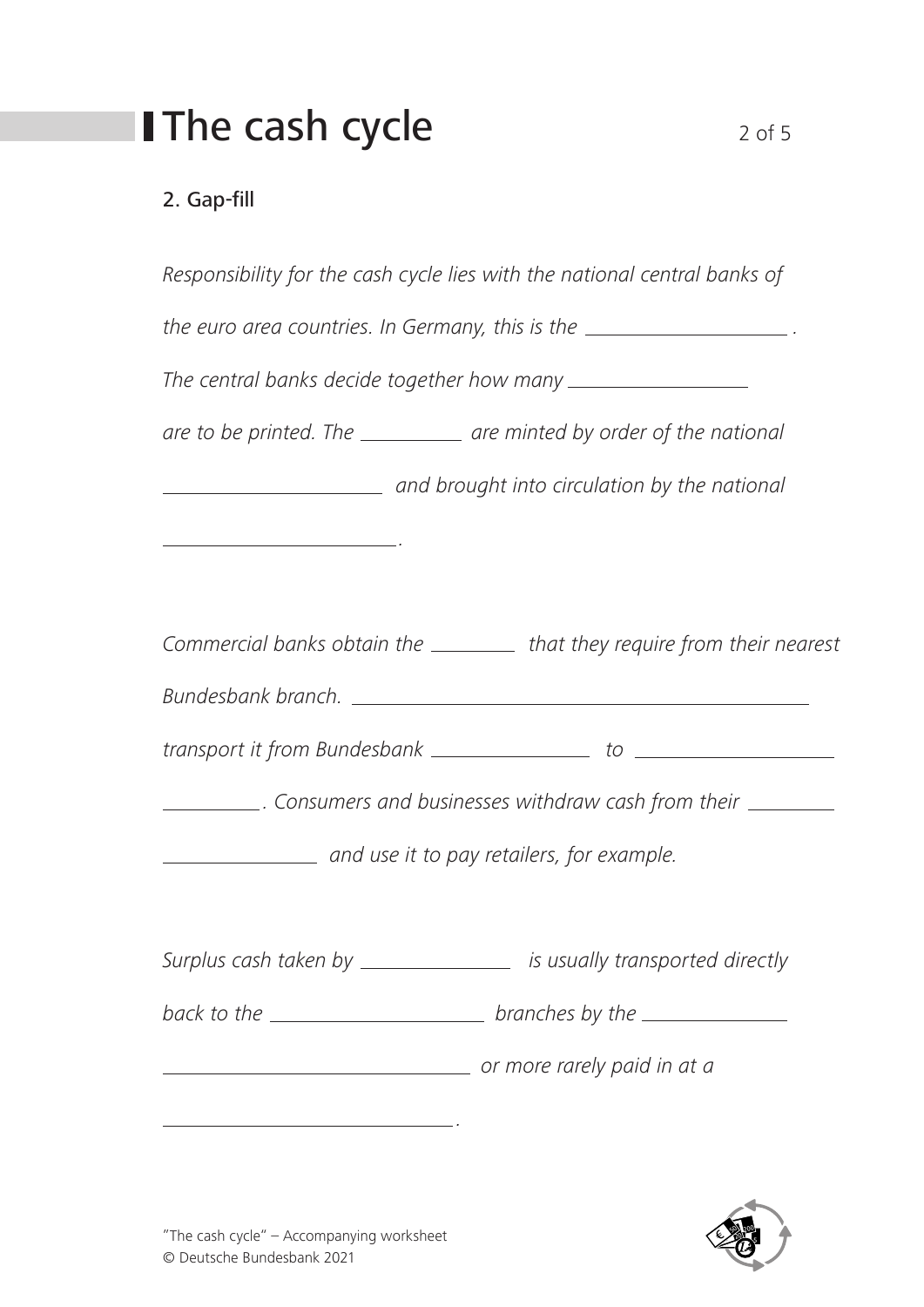# **I** The cash cycle  $2 \text{ of } 5$

### 2. Gap-fill

| Responsibility for the cash cycle lies with the national central banks of                                                                                                                                                                                                                                                                                                             |                                                                                           |  |  |  |  |  |  |
|---------------------------------------------------------------------------------------------------------------------------------------------------------------------------------------------------------------------------------------------------------------------------------------------------------------------------------------------------------------------------------------|-------------------------------------------------------------------------------------------|--|--|--|--|--|--|
| the euro area countries. In Germany, this is the $\frac{1}{\sqrt{1-\frac{1}{n}}}\frac{1}{\sqrt{1-\frac{1}{n}}}\frac{1}{\sqrt{1-\frac{1}{n}}}\frac{1}{\sqrt{1-\frac{1}{n}}}\frac{1}{\sqrt{1-\frac{1}{n}}}\frac{1}{\sqrt{1-\frac{1}{n}}}\frac{1}{\sqrt{1-\frac{1}{n}}}\frac{1}{\sqrt{1-\frac{1}{n}}}\frac{1}{\sqrt{1-\frac{1}{n}}}\frac{1}{\sqrt{1-\frac{1}{n}}}\frac{1}{\sqrt{1-\frac$ |                                                                                           |  |  |  |  |  |  |
|                                                                                                                                                                                                                                                                                                                                                                                       |                                                                                           |  |  |  |  |  |  |
|                                                                                                                                                                                                                                                                                                                                                                                       | are to be printed. The ____________ are minted by order of the national                   |  |  |  |  |  |  |
|                                                                                                                                                                                                                                                                                                                                                                                       | and brought into circulation by the national and brought into circulation by the national |  |  |  |  |  |  |
| <u> 1989 - Johann Stein, fransk politiker (d. 1989)</u>                                                                                                                                                                                                                                                                                                                               |                                                                                           |  |  |  |  |  |  |
|                                                                                                                                                                                                                                                                                                                                                                                       |                                                                                           |  |  |  |  |  |  |
|                                                                                                                                                                                                                                                                                                                                                                                       | Commercial banks obtain the ___________ that they require from their nearest              |  |  |  |  |  |  |
|                                                                                                                                                                                                                                                                                                                                                                                       |                                                                                           |  |  |  |  |  |  |
|                                                                                                                                                                                                                                                                                                                                                                                       |                                                                                           |  |  |  |  |  |  |
|                                                                                                                                                                                                                                                                                                                                                                                       | _____________. Consumers and businesses withdraw cash from their ____________             |  |  |  |  |  |  |
|                                                                                                                                                                                                                                                                                                                                                                                       | and use it to pay retailers, for example.                                                 |  |  |  |  |  |  |
|                                                                                                                                                                                                                                                                                                                                                                                       |                                                                                           |  |  |  |  |  |  |
|                                                                                                                                                                                                                                                                                                                                                                                       | Surplus cash taken by __________________ is usually transported directly                  |  |  |  |  |  |  |
|                                                                                                                                                                                                                                                                                                                                                                                       |                                                                                           |  |  |  |  |  |  |
|                                                                                                                                                                                                                                                                                                                                                                                       | or more rarely paid in at a                                                               |  |  |  |  |  |  |
| <u> 1989 - Andrea Barbara, amerikan personal (h. 1989).</u>                                                                                                                                                                                                                                                                                                                           |                                                                                           |  |  |  |  |  |  |

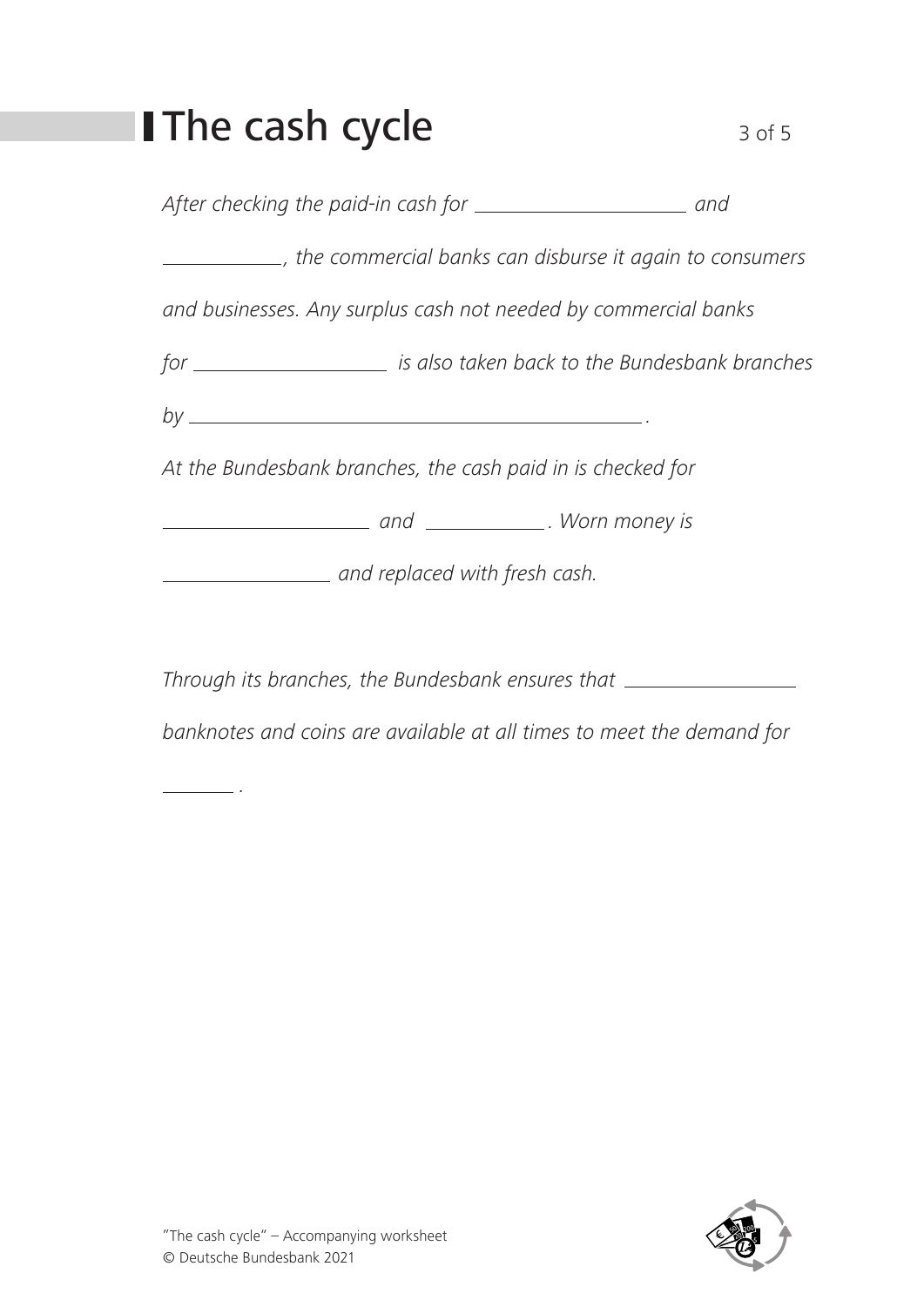## **The cash cycle**  $3 \circ 5$

After checking the paid-in cash for *and* and

*, the commercial banks can disburse it again to consumers* 

*and businesses. Any surplus cash not needed by commercial banks* 

*for is also taken back to the Bundesbank branches* 

*by .* 

*At the Bundesbank branches, the cash paid in is checked for* 

 *and . Worn money is* 

 *and replaced with fresh cash.*

*Through its branches, the Bundesbank ensures that*

*banknotes and coins are available at all times to meet the demand for* 



*.*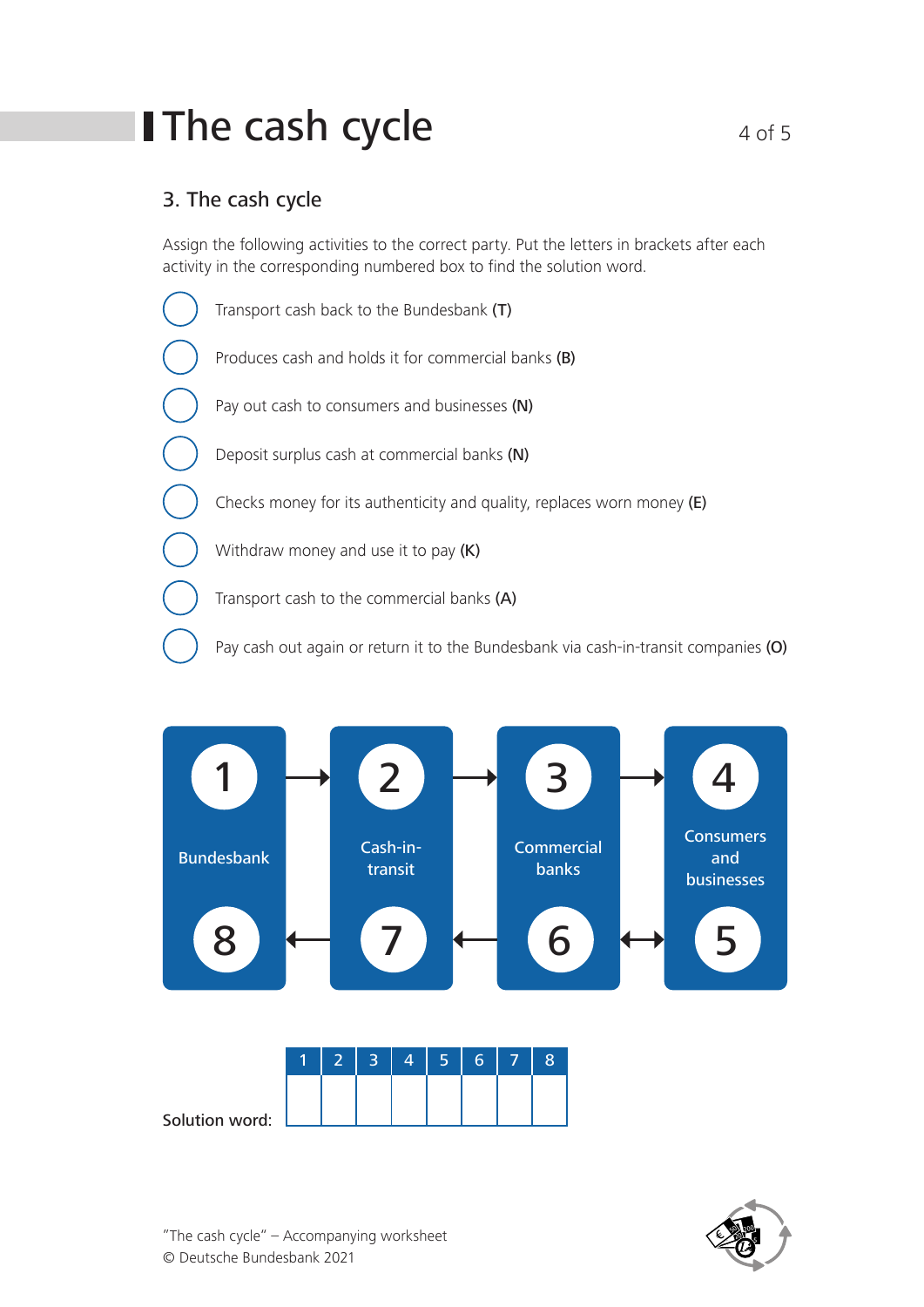## **The cash cycle**  $4 \circ 5$

### 3. The cash cycle

Assign the following activities to the correct party. Put the letters in brackets after each activity in the corresponding numbered box to find the solution word.

Transport cash back to the Bundesbank (T) Produces cash and holds it for commercial banks (B) Pay out cash to consumers and businesses (N) Deposit surplus cash at commercial banks (N) Checks money for its authenticity and quality, replaces worn money (E) Withdraw money and use it to pay (K) Transport cash to the commercial banks (A) Pay cash out again or return it to the Bundesbank via cash-in-transit companies (O)